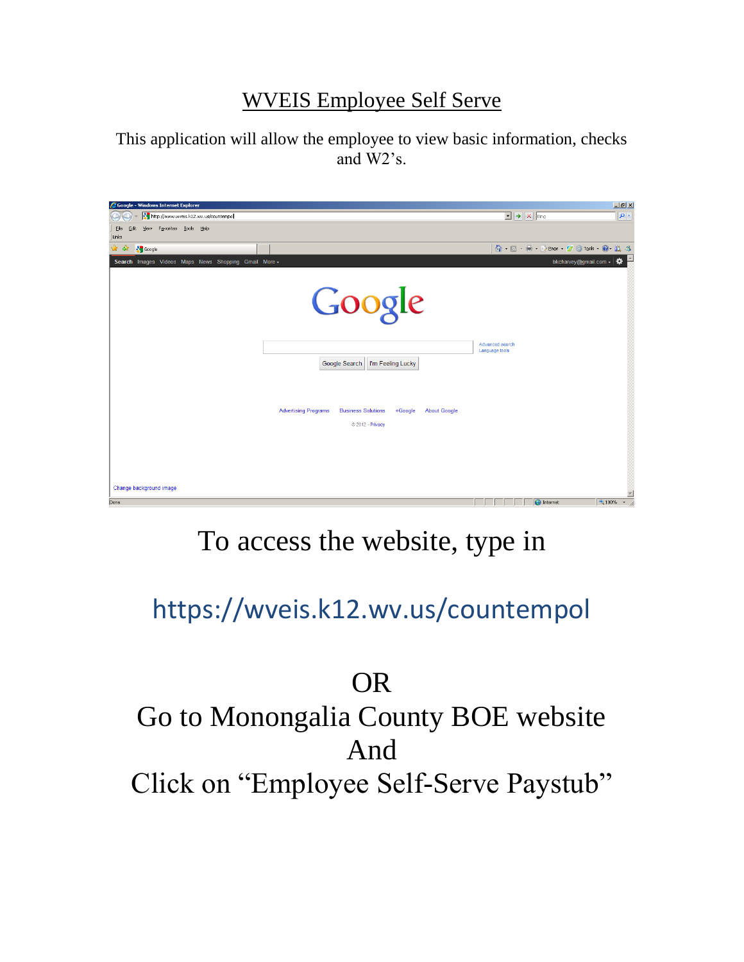#### WVEIS Employee Self Serve

This application will allow the employee to view basic information, checks and W2's.

| Google - Windows Internet Explorer                   |                                                          |                   |                     |                                              | $\Box$ el xi                         |
|------------------------------------------------------|----------------------------------------------------------|-------------------|---------------------|----------------------------------------------|--------------------------------------|
| http://www.wveis.k12.wv.us/countempol                |                                                          |                   |                     | $\mathbf{X}$ $\rightarrow$ $\mathbf{X}$ Bing | $  \bullet  $                        |
| View Favorites Tools Help<br>Eile<br>Edit<br>Links   |                                                          |                   |                     |                                              |                                      |
| * *<br><b>S</b> Google                               |                                                          |                   |                     |                                              |                                      |
| Search Images Videos Maps News Shopping Gmail More - |                                                          |                   |                     | bkcharvey@gmail.com -                        | ₩                                    |
|                                                      |                                                          |                   |                     |                                              |                                      |
|                                                      | Google                                                   |                   | Advanced search     |                                              |                                      |
|                                                      |                                                          |                   | Language tools      |                                              |                                      |
|                                                      | Google Search                                            | I'm Feeling Lucky |                     |                                              |                                      |
|                                                      |                                                          |                   |                     |                                              |                                      |
|                                                      | <b>Advertising Programs</b><br><b>Business Solutions</b> | +Google           | <b>About Google</b> |                                              |                                      |
|                                                      | © 2012 - Privacy                                         |                   |                     |                                              |                                      |
|                                                      |                                                          |                   |                     |                                              |                                      |
|                                                      |                                                          |                   |                     |                                              |                                      |
|                                                      |                                                          |                   |                     |                                              |                                      |
|                                                      |                                                          |                   |                     |                                              |                                      |
| Change background image                              |                                                          |                   |                     |                                              |                                      |
| Done                                                 |                                                          |                   |                     | $\bigcirc$ Internet                          | $rac{1}{\pi}$<br>4,100%<br>$\bullet$ |

# To access the website, type in

https://wveis.k12.wv.us/countempol

# OR

# Go to Monongalia County BOE website And Click on "Employee Self-Serve Paystub"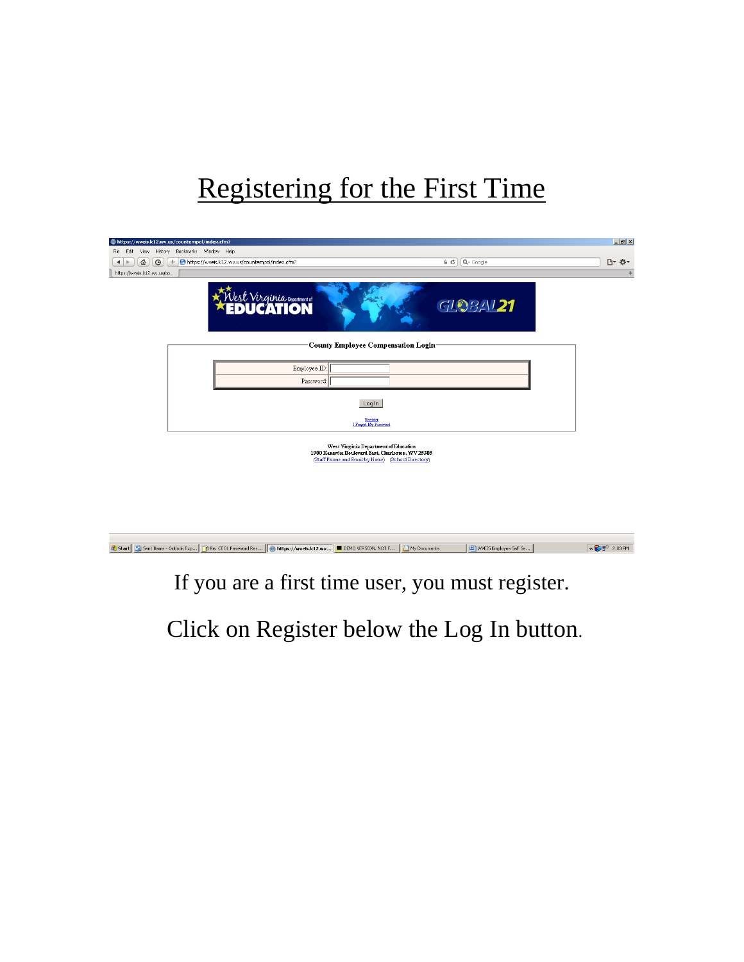## Registering for the First Time

| https://wveis.k12.wv.us/countempol/index.cfm?                                                                    |                                                                                                                                                  |                            | $\Box$ |
|------------------------------------------------------------------------------------------------------------------|--------------------------------------------------------------------------------------------------------------------------------------------------|----------------------------|--------|
| View History Bookmarks Window Help<br>File Edit                                                                  |                                                                                                                                                  |                            |        |
| 슙<br>$\odot$<br>https://wveis.k12.wv.us/countempol/index.cfm?<br>$+$<br>$\blacktriangleleft$<br>$\triangleright$ |                                                                                                                                                  | $Q$ Google<br>$\epsilon$ d | □ ☆ -  |
| https://wveis.k12.wv.us/co                                                                                       |                                                                                                                                                  |                            | ÷      |
| Vest Virginia Department of                                                                                      |                                                                                                                                                  | <b>GLOBAL21</b>            |        |
|                                                                                                                  | <b>County Employee Compensation Login-</b>                                                                                                       |                            |        |
|                                                                                                                  | Employee ID:                                                                                                                                     |                            |        |
|                                                                                                                  | Password:                                                                                                                                        |                            |        |
|                                                                                                                  | Log In                                                                                                                                           |                            |        |
|                                                                                                                  | Enginer<br>I Forgot My Password                                                                                                                  |                            |        |
|                                                                                                                  | West Virginia Department of Education<br>1900 Kanawha Boulevard East, Charleston, WV 25305<br>(Staff Phone and Email by Name) (School Directory) |                            |        |
|                                                                                                                  |                                                                                                                                                  |                            |        |

|  | Start G Start Lems - Outlook Exp PRe: CEOL Password Res (@ https://wveis.k12.wv CDEMO VERSION. NOT F   CDMY Documents |  | WVEIS Employee Self Se | « 图 2:03 PM |
|--|-----------------------------------------------------------------------------------------------------------------------|--|------------------------|-------------|

### If you are a first time user, you must register.

Click on Register below the Log In button.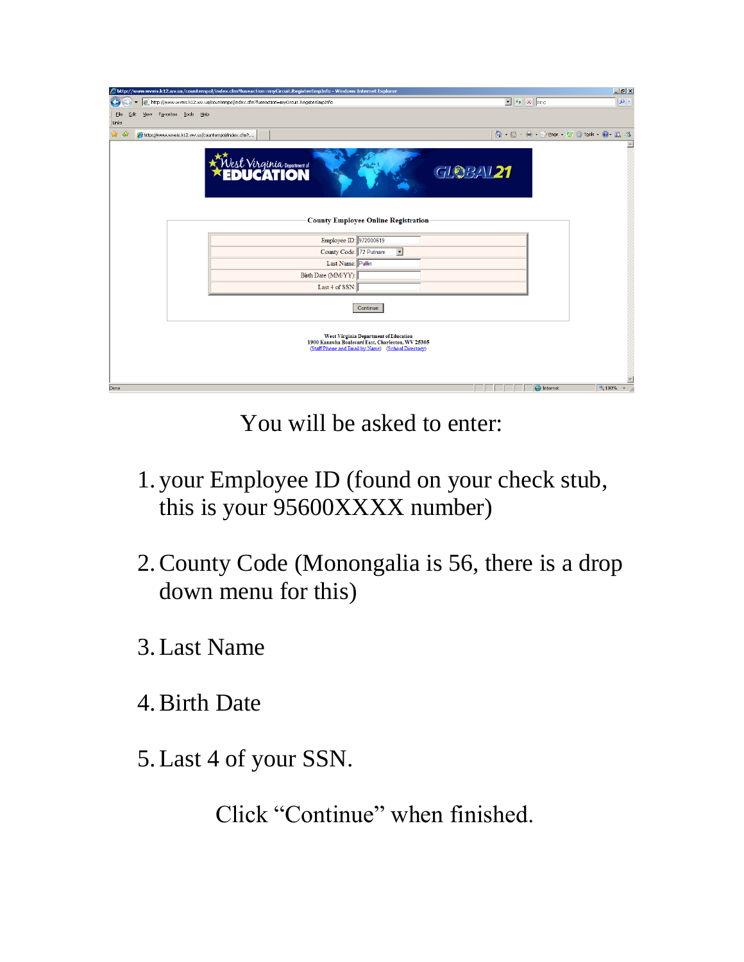| 6 http://www.wveis.k12.wv.us/countempol/index.cfm?fuseaction=myCircuit.RegisterEmpInfo - Windows Internet Explorer                                      |                                              | $-10 \times$       |
|---------------------------------------------------------------------------------------------------------------------------------------------------------|----------------------------------------------|--------------------|
| $\left(  \right)$<br>http://www.wveis.k12.wv.us/countempol/index.cfm?fuseaction=myCircuit.RegisterEmpInfo                                               | $\mathbf{I}$ $\rightarrow$ $\mathbf{X}$ Bing | $  \mathfrak{a}  $ |
| View Favorites Tools Help<br>Eile<br>Edit<br>Links                                                                                                      |                                              |                    |
| ☆<br>-ದೇ<br>http://www.wveis.k12.wv.us/countempol/index.cfm?                                                                                            | 个 同 - 曲 - Prege - 空 ① Tools - @ - 说 る        |                    |
| st Virginia Department of                                                                                                                               | <b>GLOBAL21</b>                              |                    |
| <b>County Employee Online Registration</b>                                                                                                              |                                              |                    |
| Employee ID: 972000619                                                                                                                                  |                                              |                    |
| County Code: 72 Putnam<br>$\overline{\phantom{0}}$                                                                                                      |                                              |                    |
| Last Name: Pullin                                                                                                                                       |                                              |                    |
| Birth Date (MM/YY):                                                                                                                                     |                                              |                    |
| Last 4 of SSN:                                                                                                                                          |                                              |                    |
| Continue                                                                                                                                                |                                              |                    |
| <b>West Virginia Department of Education</b><br>1900 Kanawha Boulevard East, Charleston, WV 25305<br>(Staff Phone and Email by Name) (School Directory) |                                              |                    |
| Done                                                                                                                                                    | $\bigoplus$ Internet                         | 4,100%             |

You will be asked to enter:

- 1. your Employee ID (found on your check stub, this is your 95600XXXX number)
- 2.County Code (Monongalia is 56, there is a drop down menu for this)
- 3.Last Name
- 4.Birth Date
- 5.Last 4 of your SSN.

Click "Continue" when finished.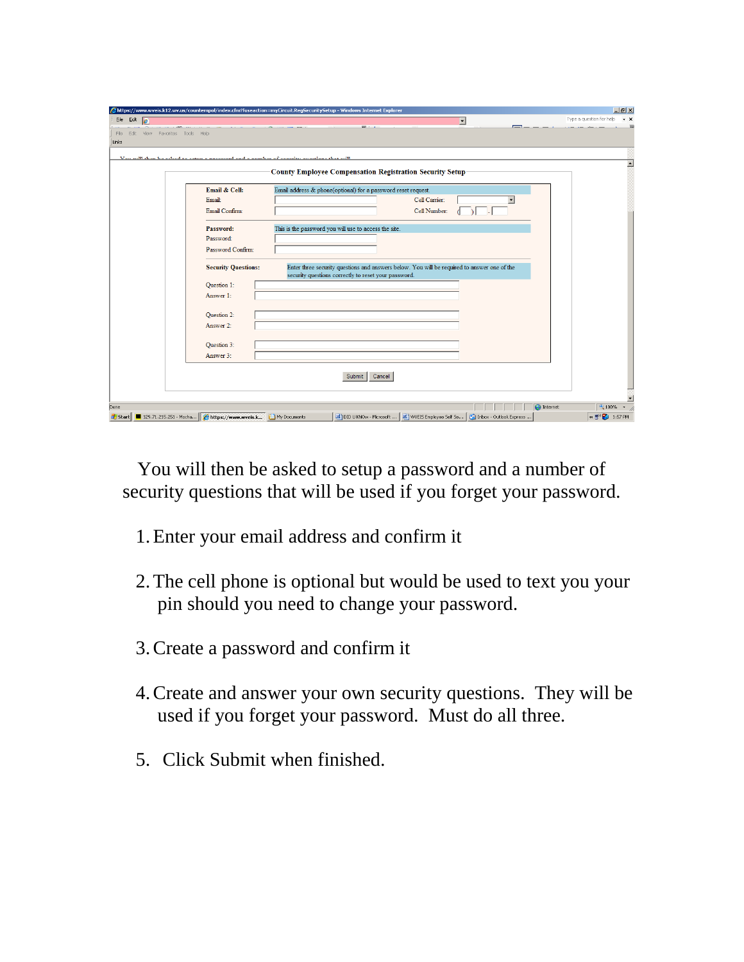| Elle .      | Edit $e$ |                                | https://www.wveis.k12.wv.us/countempol/index.cfm?fuseaction=myCircuit.RegSecuritySetup - Windows Internet Explorer |                                                                  |               |                                                                                             |         | $-10x$<br>Type a question for help<br>$\cdot$ $\times$ |
|-------------|----------|--------------------------------|--------------------------------------------------------------------------------------------------------------------|------------------------------------------------------------------|---------------|---------------------------------------------------------------------------------------------|---------|--------------------------------------------------------|
| File        |          | Edit View Favorites Tools Help |                                                                                                                    |                                                                  |               | $\vert \mathbf{r} \vert$                                                                    |         |                                                        |
| Links       |          |                                |                                                                                                                    |                                                                  |               |                                                                                             |         |                                                        |
| Van mill 41 |          |                                |                                                                                                                    |                                                                  |               |                                                                                             |         |                                                        |
|             |          |                                |                                                                                                                    | <b>County Employee Compensation Registration Security Setup-</b> |               |                                                                                             |         |                                                        |
|             |          |                                | Email & Cell:                                                                                                      | Email address & phone(optional) for a password reset request.    |               |                                                                                             |         |                                                        |
|             |          |                                | Email:                                                                                                             |                                                                  | Cell Carrier: |                                                                                             |         |                                                        |
|             |          |                                | Email Confirm:                                                                                                     |                                                                  | Cell Number:  |                                                                                             |         |                                                        |
|             |          |                                | Password:                                                                                                          | This is the password you will use to access the site.            |               |                                                                                             |         |                                                        |
|             |          |                                | Password:                                                                                                          |                                                                  |               |                                                                                             |         |                                                        |
|             |          |                                | Password Confirm:                                                                                                  |                                                                  |               |                                                                                             |         |                                                        |
|             |          |                                | <b>Security Questions:</b>                                                                                         | security questions correctly to reset your password.             |               | Enter three security questions and answers below. You will be required to answer one of the |         |                                                        |
|             |          |                                | Question 1:                                                                                                        |                                                                  |               |                                                                                             |         |                                                        |
|             |          |                                | Answer 1:                                                                                                          |                                                                  |               |                                                                                             |         |                                                        |
|             |          |                                | Question 2:                                                                                                        |                                                                  |               |                                                                                             |         |                                                        |
|             |          |                                | Answer 2:                                                                                                          |                                                                  |               |                                                                                             |         |                                                        |
|             |          |                                | Question 3:                                                                                                        |                                                                  |               |                                                                                             |         |                                                        |
|             |          |                                | Answer 3:                                                                                                          |                                                                  |               |                                                                                             |         |                                                        |
|             |          |                                |                                                                                                                    |                                                                  |               |                                                                                             |         |                                                        |
|             |          |                                |                                                                                                                    | Cancel<br>Submit                                                 |               |                                                                                             |         |                                                        |
|             |          |                                |                                                                                                                    |                                                                  |               |                                                                                             |         |                                                        |
| Done        |          |                                |                                                                                                                    |                                                                  |               |                                                                                             | nternet | $+100%$                                                |
|             |          |                                | Start   129.71.215.251 - Mocha   Ghttps://www.wveis.k   My Documents                                               |                                                                  |               | DID U KNOw - Microsoft    [8] WVEIS Employee Self Se   [9] Inbox - Outlook Express          |         | « 图 2 1:57 PM                                          |

You will then be asked to setup a password and a number of security questions that will be used if you forget your password.

- 1.Enter your email address and confirm it
- 2.The cell phone is optional but would be used to text you your pin should you need to change your password.
- 3.Create a password and confirm it
- 4.Create and answer your own security questions. They will be used if you forget your password. Must do all three.
- 5. Click Submit when finished.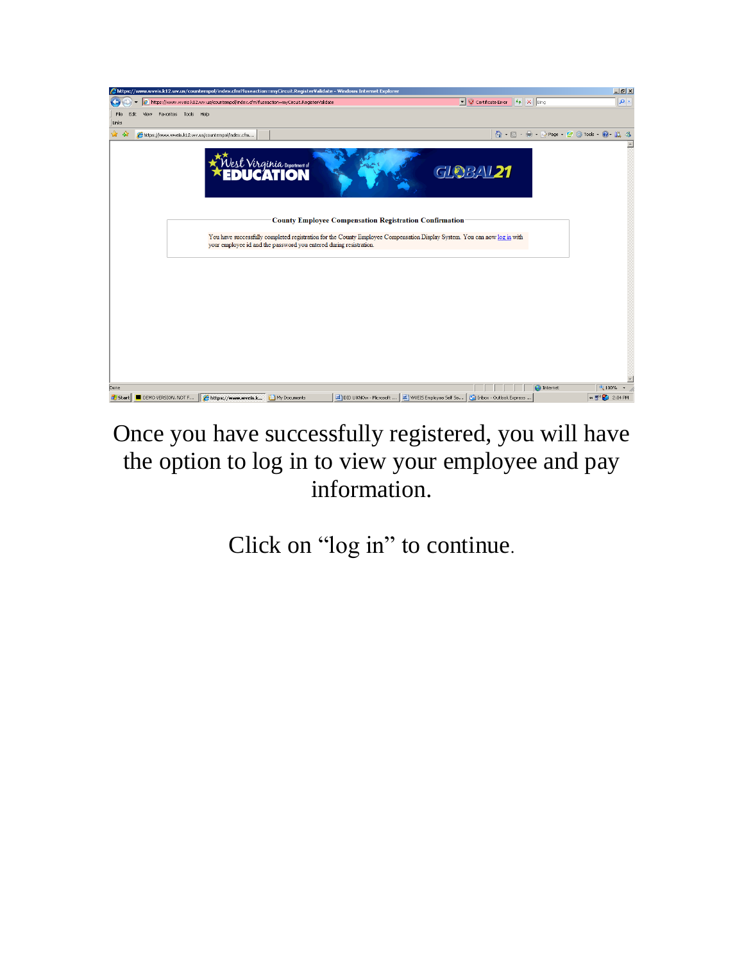

## Once you have successfully registered, you will have the option to log in to view your employee and pay information.

Click on "log in" to continue.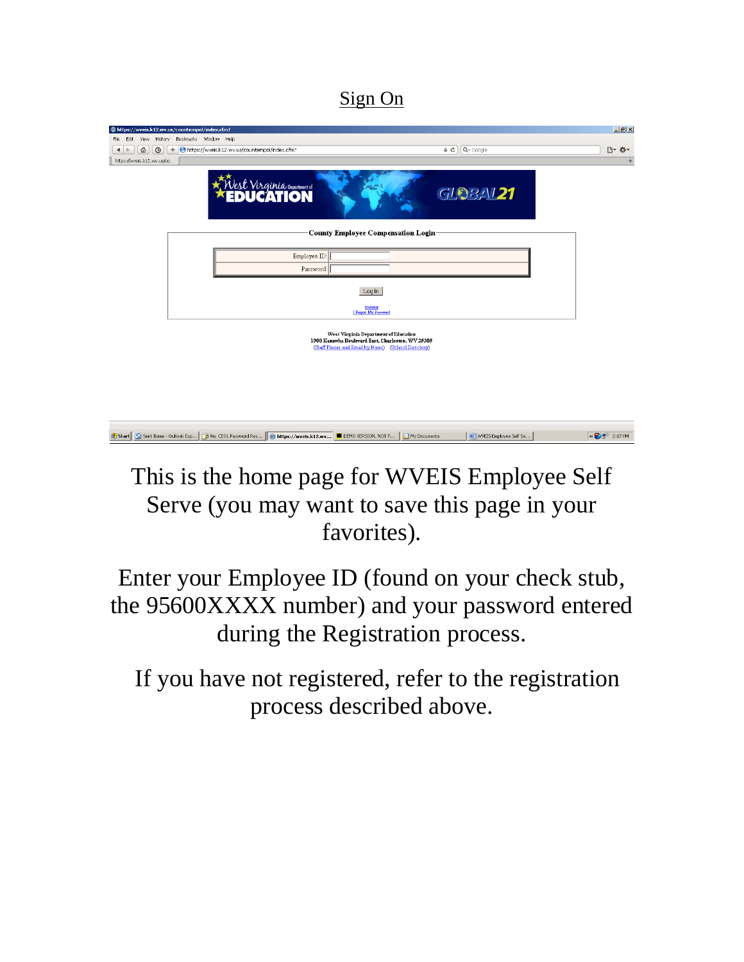Sign On

| https://wveis.k12.wv.us/countempol/index.cfm?                                                                                                    | $-10x$                                                   |
|--------------------------------------------------------------------------------------------------------------------------------------------------|----------------------------------------------------------|
| File Edit View History Bookmarks Window Help                                                                                                     | Q- Google                                                |
| + https://wveis.k12.wv.us/countempol/index.cfm?<br>줍<br>$\circ$<br>a c<br>$\leftarrow$<br>https://wveis.k12.wv.us/co                             | □ ☆ -<br>÷.                                              |
| Nest Virginia Department of                                                                                                                      | GLOBAL 21                                                |
| County Employee Compensation Login                                                                                                               |                                                          |
| Employee ID:                                                                                                                                     |                                                          |
| Password:<br>Log In                                                                                                                              |                                                          |
| Register<br>I Forgot My Password                                                                                                                 |                                                          |
| West Virginia Department of Education<br>1900 Kanawha Boulevard East, Charleston, WV 25305<br>(Staff Phone and Email by Name) (School Directory) |                                                          |
| <b>B</b> Start   C   Sent Items - Outlook Exp   The Re: CEOL Password Res   Chattns://wwwis.k12.ww   DEMO VERSION. NOT F   A My Documents        | [b] WVEIS Employee Self Se<br>« 2 m <sup>3</sup> 2:07 PM |

## This is the home page for WVEIS Employee Self Serve (you may want to save this page in your favorites).

Enter your Employee ID (found on your check stub, the 95600XXXX number) and your password entered during the Registration process.

 If you have not registered, refer to the registration process described above.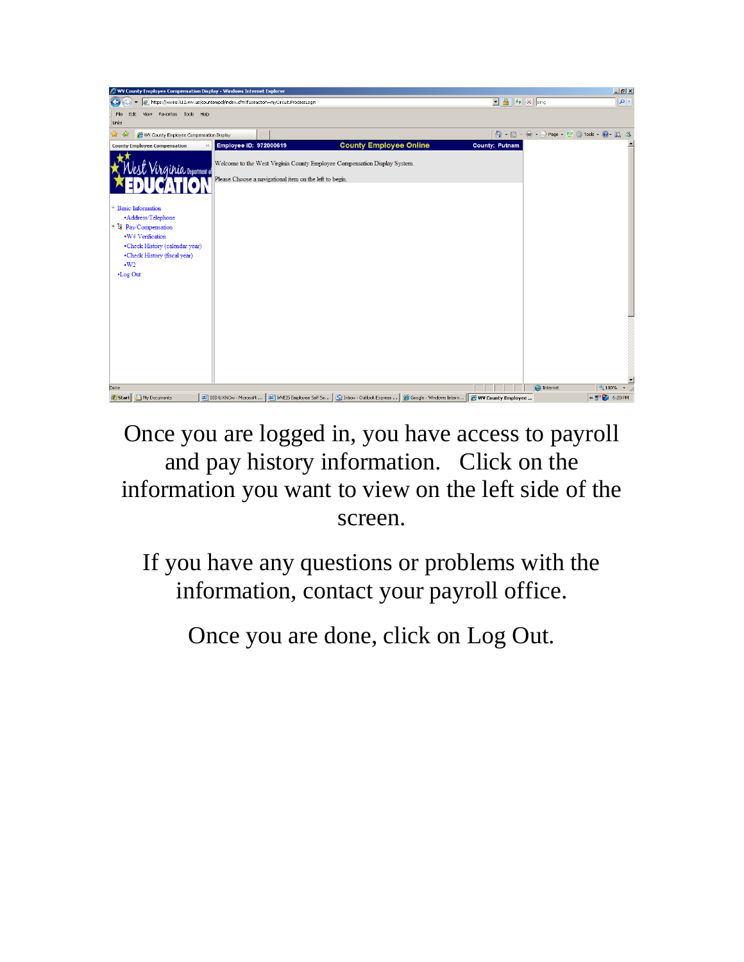

Once you are logged in, you have access to payroll and pay history information. Click on the information you want to view on the left side of the screen.

If you have any questions or problems with the information, contact your payroll office.

Once you are done, click on Log Out.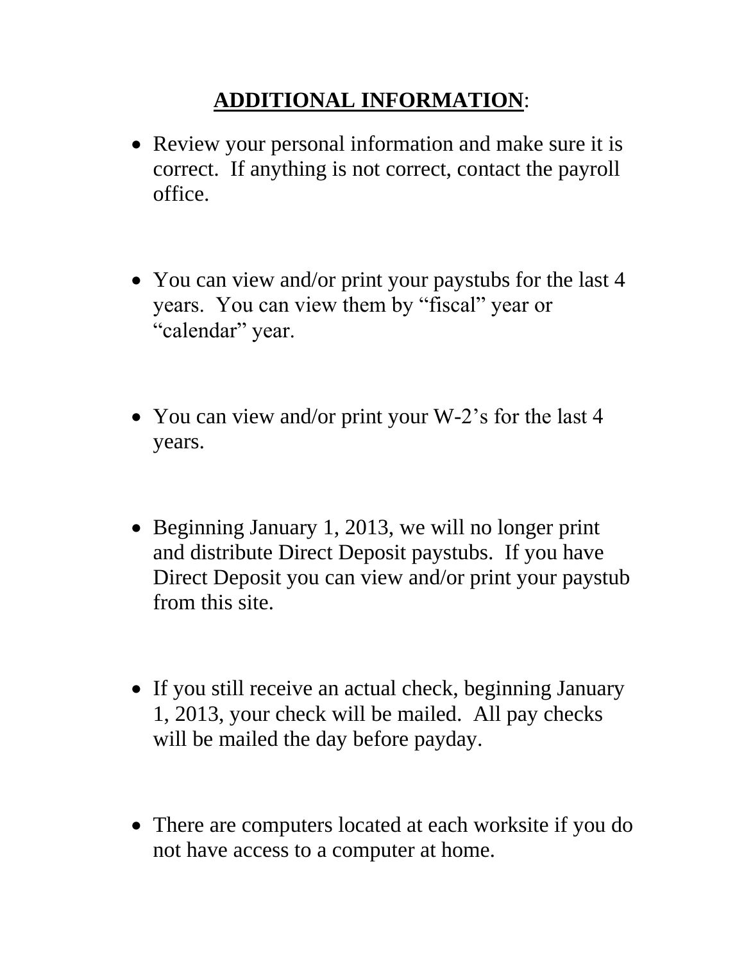### **ADDITIONAL INFORMATION**:

- Review your personal information and make sure it is correct. If anything is not correct, contact the payroll office.
- You can view and/or print your paystubs for the last 4 years. You can view them by "fiscal" year or "calendar" year.
- You can view and/or print your W-2's for the last 4 years.
- Beginning January 1, 2013, we will no longer print and distribute Direct Deposit paystubs. If you have Direct Deposit you can view and/or print your paystub from this site.
- If you still receive an actual check, beginning January 1, 2013, your check will be mailed. All pay checks will be mailed the day before payday.
- There are computers located at each worksite if you do not have access to a computer at home.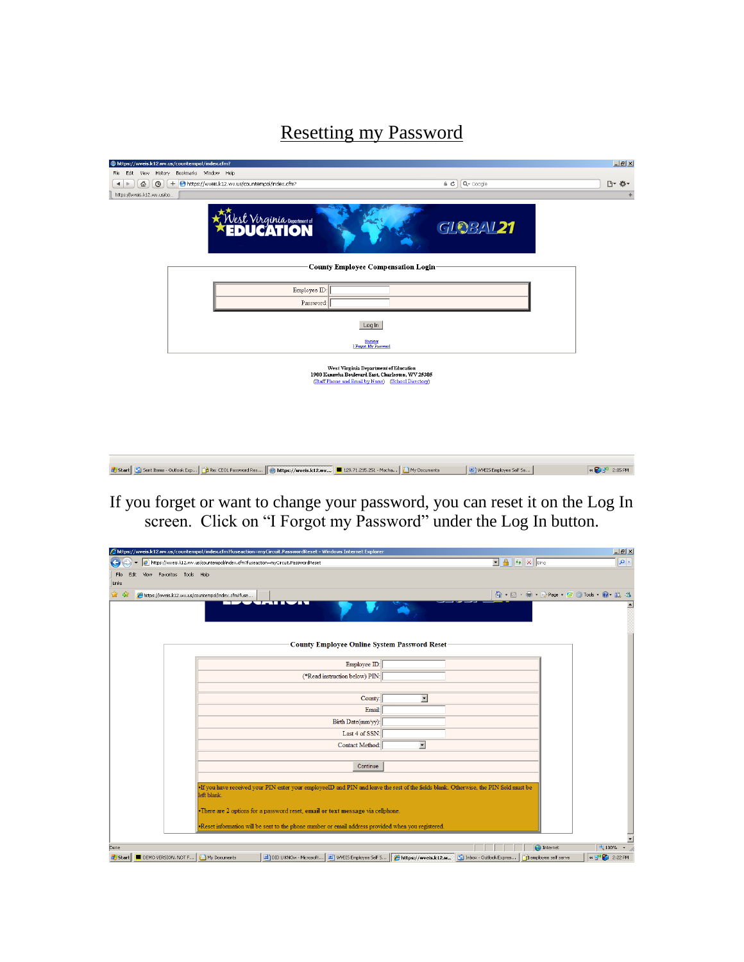Resetting my Password

|                                                          | https://wveis.k12.wv.us/countempol/index.cfm?   |                                                                                                                                                                    |         |                            | $L = x$              |
|----------------------------------------------------------|-------------------------------------------------|--------------------------------------------------------------------------------------------------------------------------------------------------------------------|---------|----------------------------|----------------------|
|                                                          | File Edit View History Bookmarks Window Help    |                                                                                                                                                                    |         |                            |                      |
| $\odot$<br>쥽<br>$\blacktriangleleft$<br>$\triangleright$ | + https://wveis.k12.wv.us/countempol/index.cfm? |                                                                                                                                                                    | $a$ $c$ | $Q$ Google                 | □ ☆ で                |
| https://wveis.k12.wv.us/co                               |                                                 |                                                                                                                                                                    |         |                            | $\!+\!$              |
|                                                          |                                                 | West Virginia Department of                                                                                                                                        |         | <b>GLOBAL21</b>            |                      |
|                                                          |                                                 | <b>County Employee Compensation Login-</b>                                                                                                                         |         |                            |                      |
|                                                          |                                                 | Employee ID:                                                                                                                                                       |         |                            |                      |
|                                                          |                                                 | Password:                                                                                                                                                          |         |                            |                      |
|                                                          |                                                 |                                                                                                                                                                    |         |                            |                      |
|                                                          |                                                 | Log In                                                                                                                                                             |         |                            |                      |
|                                                          |                                                 | Esgister<br>I Forgot My Password                                                                                                                                   |         |                            |                      |
|                                                          |                                                 | West Virginia Department of Education<br>1900 Kanawha Boulevard East, Charleston, WV 25305<br>(Staff Phone and Email by Name) (School Directory)                   |         |                            |                      |
|                                                          |                                                 | <b>By Start B</b> Sent Items - Outlook Exp <b>B</b> Re: CEOL Password Res <b>Control By Artns://wweis.k12.wy</b> 4 129.71.215.251 - Mocha <b>Control By Artns:</b> |         | at) wyEIS Employee Self Se | $\leftarrow$ 2.05 PM |

If you forget or want to change your password, you can reset it on the Log In screen. Click on "I Forgot my Password" under the Log In button.

| @https://wveis.k12.wv.us/countempol/index.cfm?fuseaction=myCircuit.PasswordReset - Windows Internet Explorer                                                                                       |                          |                                                          | $L = 1$                                       |
|----------------------------------------------------------------------------------------------------------------------------------------------------------------------------------------------------|--------------------------|----------------------------------------------------------|-----------------------------------------------|
| https://wveis.k12.wv.us/countempol/index.cfm?fuseaction=myCircuit.PasswordReset                                                                                                                    |                          | $\mathbf{I}$ $\mathbf{A}$ $\mathbf{V}$ $\mathbf{X}$ Bing | $  \cdot  $                                   |
| View Favorites Tools Help<br>File<br>Edit<br>Links                                                                                                                                                 |                          |                                                          |                                               |
| -67<br>https://wveis.k12.wv.us/countempol/index.cfm?fuse                                                                                                                                           |                          |                                                          | <b>价 5 - 曲 - 中 Page - 空 G Tools - @ - 说 る</b> |
| $T = T T T$                                                                                                                                                                                        |                          |                                                          |                                               |
| <b>County Employee Online System Password Reset</b>                                                                                                                                                |                          |                                                          |                                               |
| Employee ID:                                                                                                                                                                                       |                          |                                                          |                                               |
| (*Read instruction below) PIN:                                                                                                                                                                     |                          |                                                          |                                               |
| County:                                                                                                                                                                                            | 회                        |                                                          |                                               |
| Email:                                                                                                                                                                                             |                          |                                                          |                                               |
| Birth Date(mm/yy):                                                                                                                                                                                 |                          |                                                          |                                               |
| Last 4 of SSN:                                                                                                                                                                                     |                          |                                                          |                                               |
| Contact Method:                                                                                                                                                                                    | $\overline{\phantom{a}}$ |                                                          |                                               |
| Continue                                                                                                                                                                                           |                          |                                                          |                                               |
|                                                                                                                                                                                                    |                          |                                                          |                                               |
| . If you have received your PIN enter your employeeID and PIN and leave the rest of the fields blank. Otherwise, the PIN field must be<br>left blank                                               |                          |                                                          |                                               |
| •There are 2 options for a password reset, email or text message via cellphone.                                                                                                                    |                          |                                                          |                                               |
| . Reset information will be sent to the phone number or email address provided when you registered.                                                                                                |                          |                                                          |                                               |
|                                                                                                                                                                                                    |                          | <b>D</b> Internet                                        | + 100%                                        |
| Inbox - Outlook Expres Pemployee self serve [29] NVEIS Employee Self S [29] https://wveis.k12.w [29] Inbox - Outlook Expres [29] employee self serve<br>Start   DEMO VERSION, NOT F   Ny Documents |                          |                                                          | « → <sup>1)</sup> 2:22 PM                     |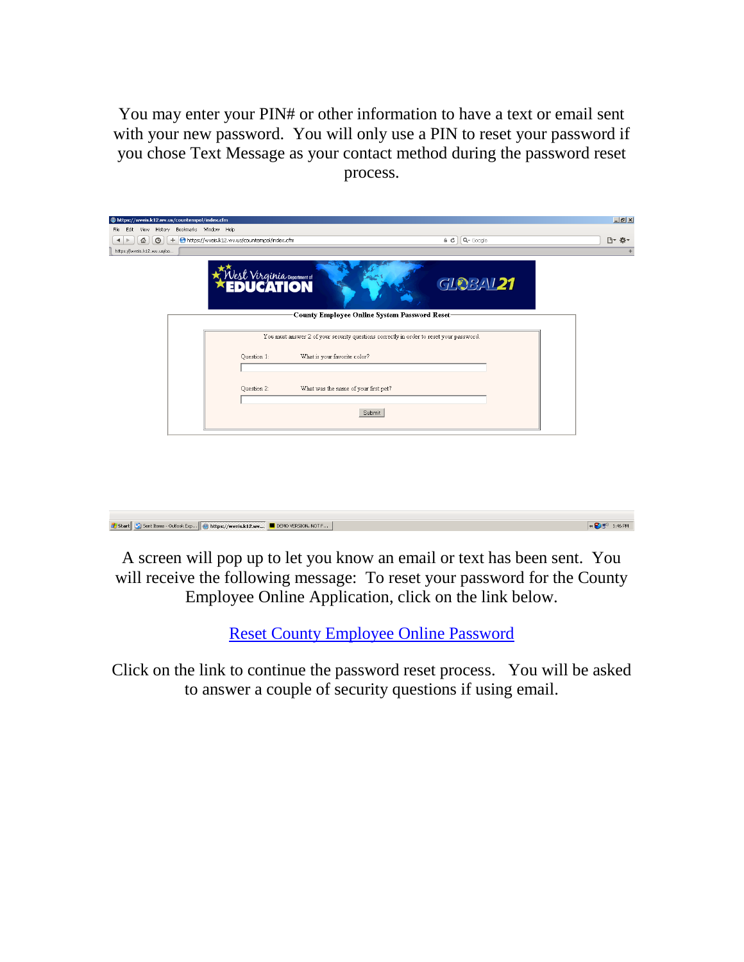You may enter your PIN# or other information to have a text or email sent with your new password. You will only use a PIN to reset your password if you chose Text Message as your contact method during the password reset process.

| https://wveis.k12.wv.us/countempol/index.cfm                   |                                                                                         |                         | $\Box$ el xi |
|----------------------------------------------------------------|-----------------------------------------------------------------------------------------|-------------------------|--------------|
| View History Bookmarks Window Help<br>File Edit                |                                                                                         |                         |              |
| + https://wveis.k12.wv.us/countempol/index.cfm<br>슙<br>$\odot$ |                                                                                         | $Q -$ Google<br>$a$ $c$ | □▼ 弊▼        |
| https://wveis.k12.wv.us/co                                     |                                                                                         |                         |              |
| Jest Virginia Department of                                    | County Employee Online System Password Reset-                                           | <b>GLOBAL21</b>         |              |
|                                                                | You must answer 2 of your security questions correctly in order to reset your password. |                         |              |
| Question 1:                                                    | What is your favorite color?                                                            |                         |              |
| Question 2:                                                    | What was the name of your first pet?                                                    |                         |              |
|                                                                | Submit                                                                                  |                         |              |
|                                                                |                                                                                         |                         |              |



A screen will pop up to let you know an email or text has been sent. You will receive the following message: To reset your password for the County Employee Online Application, click on the link below.

[Reset County Employee Online Password](../../AppData/Local/Microsoft/Windows/Temporary%20Internet%20Files/Content.Outlook/YYZN2B0E/wveis.k12.wv.us/countempol/index.cfm?fuseaction=myCircuit.PWResetStage2&method=email&employeeid=972000619)

Click on the link to continue the password reset process. You will be asked to answer a couple of security questions if using email.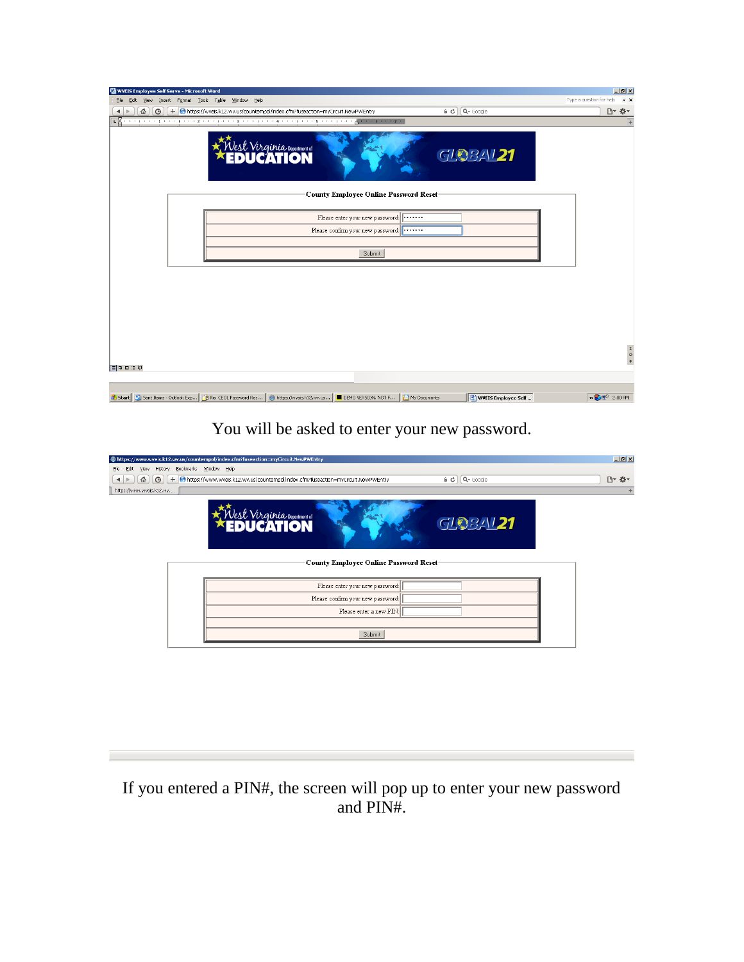| WWEIS Employee Self Serve - Microsoft Word                                                                                         |                                     | $-10x$                                                  |
|------------------------------------------------------------------------------------------------------------------------------------|-------------------------------------|---------------------------------------------------------|
| Edit View Insert Format Tools Table Window Help<br>Eile                                                                            |                                     | Type a question for help<br>$\cdot$ $\times$            |
| + https://wveis.k12.wv.us/countempol/index.cfm?fuseaction=myCircuit.NewPWEntry<br>쥽<br>$\Theta$<br>$\blacktriangleleft$            | $\bullet$ $\bullet$ $\alpha$ Google | □ ☆ *                                                   |
|                                                                                                                                    |                                     | $\overline{+}$                                          |
| <i>Nest Virginia</i> Department of<br><b>EDUCATION</b>                                                                             | <b>GLOBAL21</b>                     |                                                         |
| County Employee Online Password Reset-                                                                                             |                                     |                                                         |
| Please enter your new password:                                                                                                    |                                     |                                                         |
| Please confirm your new password:                                                                                                  |                                     |                                                         |
|                                                                                                                                    |                                     |                                                         |
| Submit                                                                                                                             |                                     |                                                         |
|                                                                                                                                    |                                     |                                                         |
|                                                                                                                                    |                                     |                                                         |
|                                                                                                                                    |                                     |                                                         |
|                                                                                                                                    |                                     |                                                         |
|                                                                                                                                    |                                     |                                                         |
|                                                                                                                                    |                                     |                                                         |
|                                                                                                                                    |                                     |                                                         |
|                                                                                                                                    |                                     | $\begin{array}{c}\n\star \\ \bullet \\ \end{array}$     |
| 目中田原印                                                                                                                              |                                     |                                                         |
|                                                                                                                                    |                                     |                                                         |
| Start   G) Sent Items - Outlook Exp   @ Re: CEOL Password Res   @ https://wveis.k12.wv.us   ■ DEMO VERSION. NOT F   ● My Documents | WYEIS Employee Self                 | $\propto$ $\left[\frac{1}{2}\right]\frac{1}{2}$ 2:00 PM |

You will be asked to enter your new password.

| https://www.wveis.k12.wv.us/countempol/index.cfm?fuseaction=myCircuit.NewPWEntry |                                                                                    |                                 | $\Box$ ill $\times$ |
|----------------------------------------------------------------------------------|------------------------------------------------------------------------------------|---------------------------------|---------------------|
| View History Bookmarks Window Help<br>File<br>Edit                               |                                                                                    |                                 |                     |
| 岙<br>$\circ$                                                                     | + https://www.wveis.k12.wv.us/countempol/index.cfm?fuseaction=myCircuit.NewPWEntry | $Q$ Google<br>$\theta$ $\sigma$ | □ ☆ *               |
| https://www.wveis.k12.wv                                                         |                                                                                    |                                 | ÷                   |
|                                                                                  | Nest Virginia veportment of                                                        | <b>GLOBAL21</b>                 |                     |
|                                                                                  | <b>County Employee Online Password Reset</b>                                       |                                 |                     |
|                                                                                  | Please enter your new password:                                                    |                                 |                     |
|                                                                                  | Please confirm your new password:                                                  |                                 |                     |
|                                                                                  | Please enter a new PIN:                                                            |                                 |                     |
|                                                                                  |                                                                                    |                                 |                     |
|                                                                                  | Submit                                                                             |                                 |                     |
|                                                                                  |                                                                                    |                                 |                     |

If you entered a PIN#, the screen will pop up to enter your new password and PIN#.